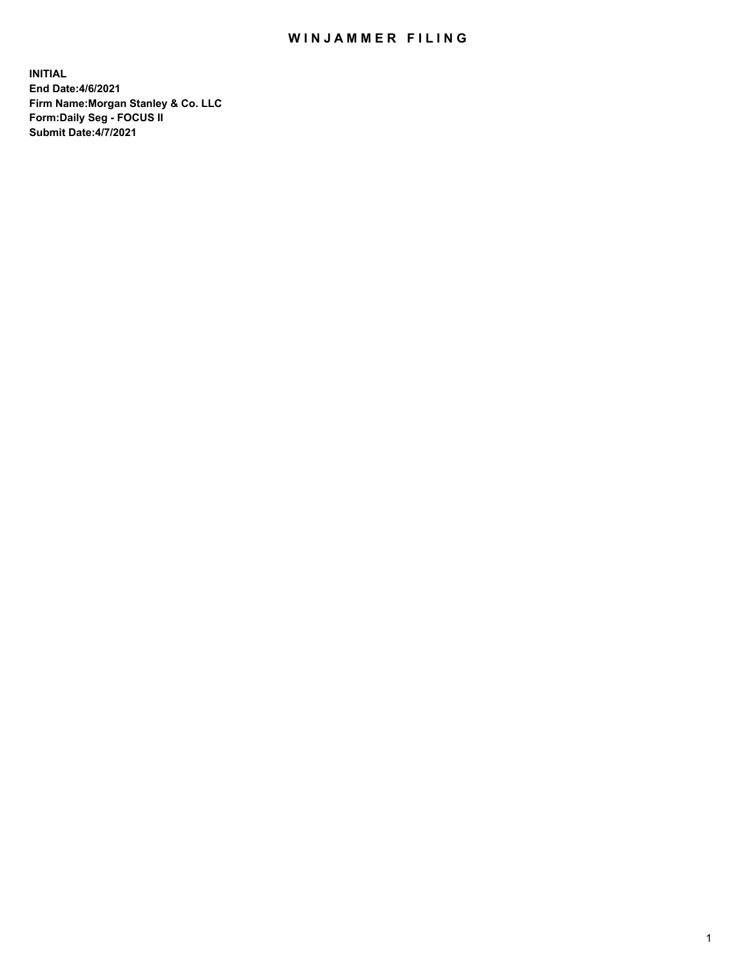## WIN JAMMER FILING

**INITIAL End Date:4/6/2021 Firm Name:Morgan Stanley & Co. LLC Form:Daily Seg - FOCUS II Submit Date:4/7/2021**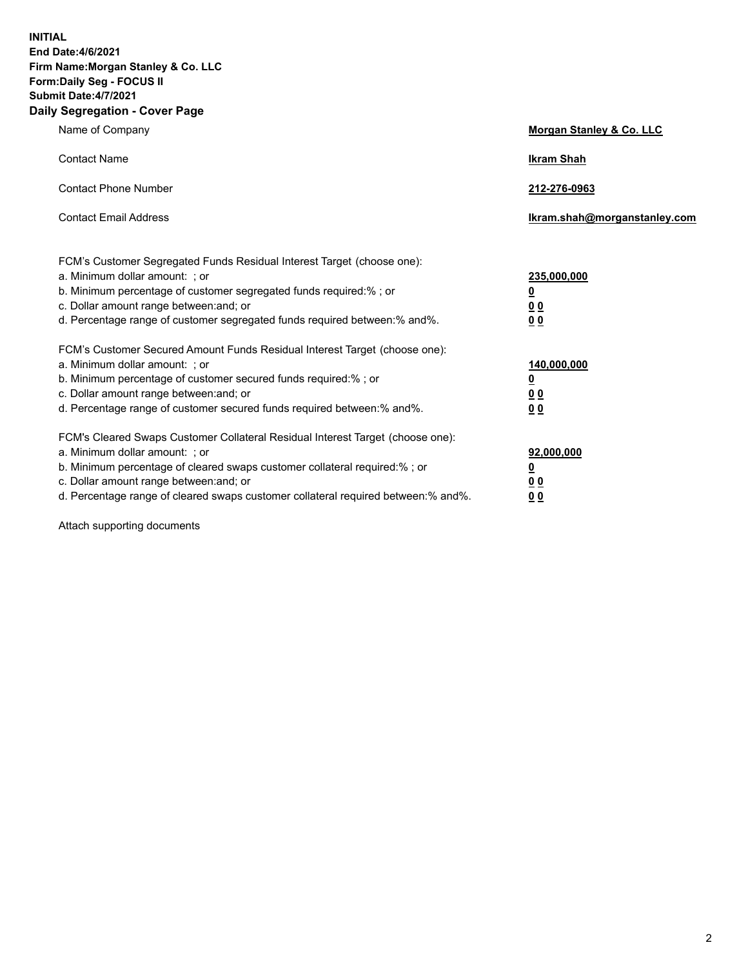**INITIAL End Date:4/6/2021 Firm Name:Morgan Stanley & Co. LLC Form:Daily Seg - FOCUS II Submit Date:4/7/2021 Daily Segregation - Cover Page**

| Name of Company                                                                                                                                                                                                                                                                                                                | Morgan Stanley & Co. LLC                                    |
|--------------------------------------------------------------------------------------------------------------------------------------------------------------------------------------------------------------------------------------------------------------------------------------------------------------------------------|-------------------------------------------------------------|
| <b>Contact Name</b>                                                                                                                                                                                                                                                                                                            | <b>Ikram Shah</b>                                           |
| <b>Contact Phone Number</b>                                                                                                                                                                                                                                                                                                    | 212-276-0963                                                |
| <b>Contact Email Address</b>                                                                                                                                                                                                                                                                                                   | Ikram.shah@morganstanley.com                                |
| FCM's Customer Segregated Funds Residual Interest Target (choose one):<br>a. Minimum dollar amount: ; or<br>b. Minimum percentage of customer segregated funds required:% ; or<br>c. Dollar amount range between: and; or<br>d. Percentage range of customer segregated funds required between:% and%.                         | 235,000,000<br><u>0</u><br>0 <sub>0</sub><br>0 <sub>0</sub> |
| FCM's Customer Secured Amount Funds Residual Interest Target (choose one):<br>a. Minimum dollar amount: ; or<br>b. Minimum percentage of customer secured funds required:% ; or<br>c. Dollar amount range between: and; or<br>d. Percentage range of customer secured funds required between: % and %.                         | 140,000,000<br><u>0</u><br>0 <sub>0</sub>                   |
| FCM's Cleared Swaps Customer Collateral Residual Interest Target (choose one):<br>a. Minimum dollar amount: ; or<br>b. Minimum percentage of cleared swaps customer collateral required:% ; or<br>c. Dollar amount range between: and; or<br>d. Percentage range of cleared swaps customer collateral required between:% and%. | 00<br>92,000,000<br><u>0</u><br>0 Q<br>0 <sub>0</sub>       |

Attach supporting documents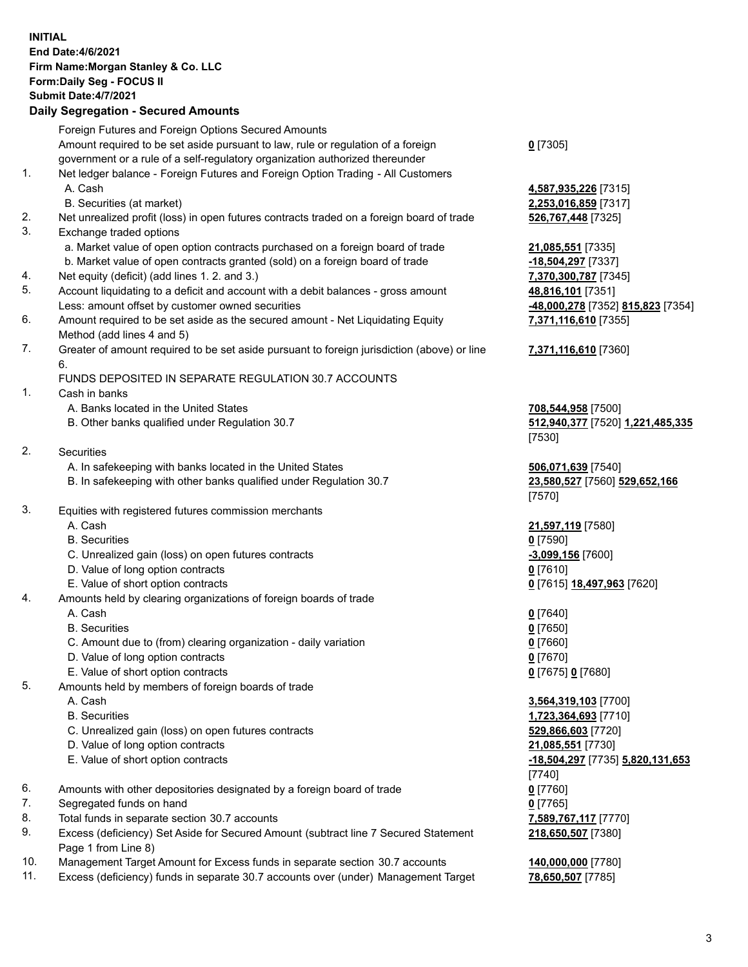## **INITIAL End Date:4/6/2021 Firm Name:Morgan Stanley & Co. LLC Form:Daily Seg - FOCUS II Submit Date:4/7/2021 Daily Segregation - Secured Amounts** Foreign Futures and Foreign Options Secured Amounts Amount required to be set aside pursuant to law, rule or regulation of a foreign government or a rule of a self-regulatory organization authorized thereunder 1. Net ledger balance - Foreign Futures and Foreign Option Trading - All Customers A. Cash **4,587,935,226** [7315] B. Securities (at market) **2,253,016,859** [7317] 2. Net unrealized profit (loss) in open futures contracts traded on a foreign board of trade **526,767,448** [7325] 3. Exchange traded options a. Market value of open option contracts purchased on a foreign board of trade **21,085,551** [7335] b. Market value of open contracts granted (sold) on a foreign board of trade **-18,504,297** [7337] 4. Net equity (deficit) (add lines 1. 2. and 3.) **7,370,300,787** [7345] 5. Account liquidating to a deficit and account with a debit balances - gross amount **48,816,101** [7351] Less: amount offset by customer owned securities **-48,000,278** [7352] **815,823** [7354] 6. Amount required to be set aside as the secured amount - Net Liquidating Equity Method (add lines 4 and 5) 7. Greater of amount required to be set aside pursuant to foreign jurisdiction (above) or line 6. FUNDS DEPOSITED IN SEPARATE REGULATION 30.7 ACCOUNTS 1. Cash in banks A. Banks located in the United States **708,544,958** [7500] B. Other banks qualified under Regulation 30.7 **512,940,377** [7520] **1,221,485,335** 2. Securities A. In safekeeping with banks located in the United States **506,071,639** [7540] B. In safekeeping with other banks qualified under Regulation 30.7 **23,580,527** [7560] **529,652,166** 3. Equities with registered futures commission merchants A. Cash **21,597,119** [7580] B. Securities **0** [7590] C. Unrealized gain (loss) on open futures contracts **-3,099,156** [7600] D. Value of long option contracts **0** [7610] E. Value of short option contracts **0** [7615] **18,497,963** [7620] 4. Amounts held by clearing organizations of foreign boards of trade A. Cash **0** [7640] B. Securities **0** [7650] C. Amount due to (from) clearing organization - daily variation **0** [7660] D. Value of long option contracts **0** [7670] E. Value of short option contracts **0** [7675] **0** [7680] 5. Amounts held by members of foreign boards of trade A. Cash **3,564,319,103** [7700] B. Securities **1,723,364,693** [7710] C. Unrealized gain (loss) on open futures contracts **529,866,603** [7720] D. Value of long option contracts **21,085,551** [7730] E. Value of short option contracts **-18,504,297** [7735] **5,820,131,653** 6. Amounts with other depositories designated by a foreign board of trade **0** [7760]

- 7. Segregated funds on hand **0** [7765]
- 8. Total funds in separate section 30.7 accounts **7,589,767,117** [7770]
- 9. Excess (deficiency) Set Aside for Secured Amount (subtract line 7 Secured Statement Page 1 from Line 8)
- 10. Management Target Amount for Excess funds in separate section 30.7 accounts **140,000,000** [7780]
- 11. Excess (deficiency) funds in separate 30.7 accounts over (under) Management Target **78,650,507** [7785]

**0** [7305]

**7,371,116,610** [7355]

## **7,371,116,610** [7360]

[7530]

[7570]

[7740] **218,650,507** [7380]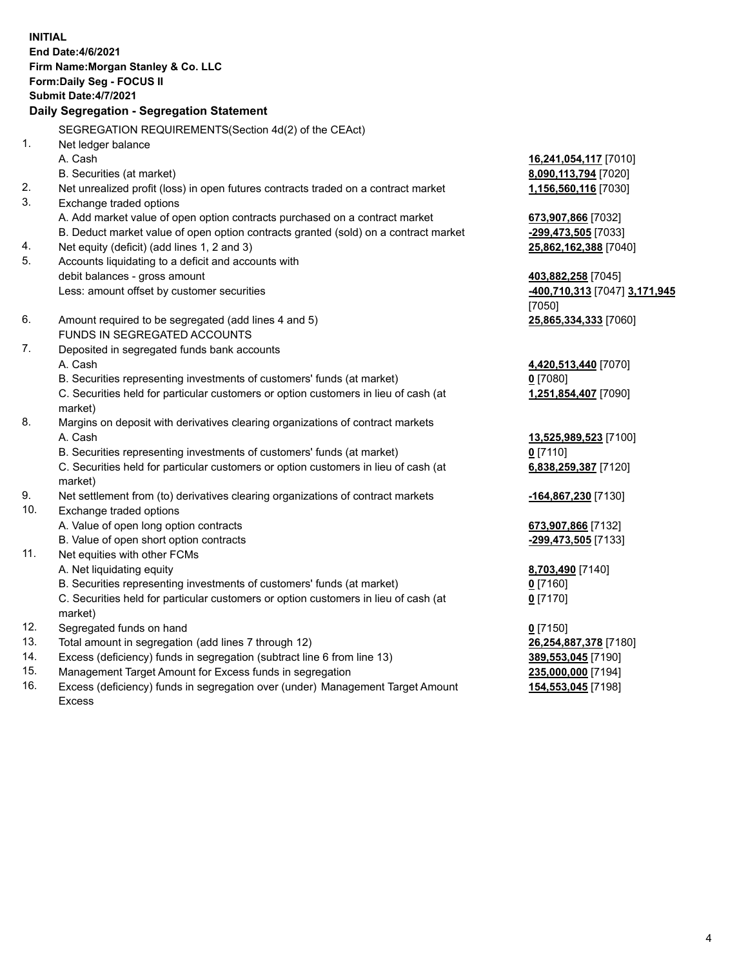|            | <b>INITIAL</b><br>End Date: 4/6/2021<br>Firm Name: Morgan Stanley & Co. LLC<br>Form: Daily Seg - FOCUS II<br>Submit Date: 4/7/2021<br>Daily Segregation - Segregation Statement |                                                    |
|------------|---------------------------------------------------------------------------------------------------------------------------------------------------------------------------------|----------------------------------------------------|
|            | SEGREGATION REQUIREMENTS(Section 4d(2) of the CEAct)                                                                                                                            |                                                    |
| 1.         | Net ledger balance                                                                                                                                                              |                                                    |
|            | A. Cash                                                                                                                                                                         | 16,241,054,117 [7010]                              |
|            | B. Securities (at market)                                                                                                                                                       | 8,090,113,794 [7020]                               |
| 2.         | Net unrealized profit (loss) in open futures contracts traded on a contract market                                                                                              | 1,156,560,116 [7030]                               |
| 3.         | Exchange traded options                                                                                                                                                         |                                                    |
|            | A. Add market value of open option contracts purchased on a contract market                                                                                                     | 673,907,866 [7032]                                 |
|            | B. Deduct market value of open option contracts granted (sold) on a contract market                                                                                             | -299,473,505 [7033]                                |
| 4.<br>5.   | Net equity (deficit) (add lines 1, 2 and 3)                                                                                                                                     | 25,862,162,388 [7040]                              |
|            | Accounts liquidating to a deficit and accounts with                                                                                                                             |                                                    |
|            | debit balances - gross amount<br>Less: amount offset by customer securities                                                                                                     | 403,882,258 [7045]<br>400,710,313 [7047] 3,171,945 |
|            |                                                                                                                                                                                 | [7050]                                             |
| 6.         | Amount required to be segregated (add lines 4 and 5)                                                                                                                            | 25,865,334,333 [7060]                              |
|            | FUNDS IN SEGREGATED ACCOUNTS                                                                                                                                                    |                                                    |
| 7.         | Deposited in segregated funds bank accounts                                                                                                                                     |                                                    |
|            | A. Cash                                                                                                                                                                         | 4,420,513,440 [7070]                               |
|            | B. Securities representing investments of customers' funds (at market)                                                                                                          | $0$ [7080]                                         |
|            | C. Securities held for particular customers or option customers in lieu of cash (at                                                                                             | 1,251,854,407 [7090]                               |
|            | market)                                                                                                                                                                         |                                                    |
| 8.         | Margins on deposit with derivatives clearing organizations of contract markets                                                                                                  |                                                    |
|            | A. Cash                                                                                                                                                                         | 13,525,989,523 [7100]                              |
|            | B. Securities representing investments of customers' funds (at market)                                                                                                          | $0$ [7110]                                         |
|            | C. Securities held for particular customers or option customers in lieu of cash (at                                                                                             | 6,838,259,387 [7120]                               |
|            | market)                                                                                                                                                                         |                                                    |
| 9.         | Net settlement from (to) derivatives clearing organizations of contract markets                                                                                                 | -164,867,230 [7130]                                |
| 10.        | Exchange traded options                                                                                                                                                         |                                                    |
|            | A. Value of open long option contracts                                                                                                                                          | 673,907,866 [7132]                                 |
|            | B. Value of open short option contracts                                                                                                                                         | -299,473,505 [7133]                                |
| 11.        | Net equities with other FCMs                                                                                                                                                    |                                                    |
|            | A. Net liquidating equity                                                                                                                                                       | 8,703,490 [7140]                                   |
|            | B. Securities representing investments of customers' funds (at market)                                                                                                          | <u>0</u> [7160]                                    |
|            | C. Securities held for particular customers or option customers in lieu of cash (at                                                                                             | $0$ [7170]                                         |
|            | market)                                                                                                                                                                         |                                                    |
| 12.<br>13. | Segregated funds on hand                                                                                                                                                        | $0$ [7150]                                         |
| 14.        | Total amount in segregation (add lines 7 through 12)<br>Excess (deficiency) funds in segregation (subtract line 6 from line 13)                                                 | 26,254,887,378 [7180]                              |
| 15.        | Management Target Amount for Excess funds in segregation                                                                                                                        | 389,553,045 [7190]                                 |
| 16.        | Excess (deficiency) funds in segregation over (under) Management Target Amount                                                                                                  | 235,000,000 [7194]<br>154,553,045 [7198]           |
|            |                                                                                                                                                                                 |                                                    |

16. Excess (deficiency) funds in segregation over (under) Management Target Amount Excess